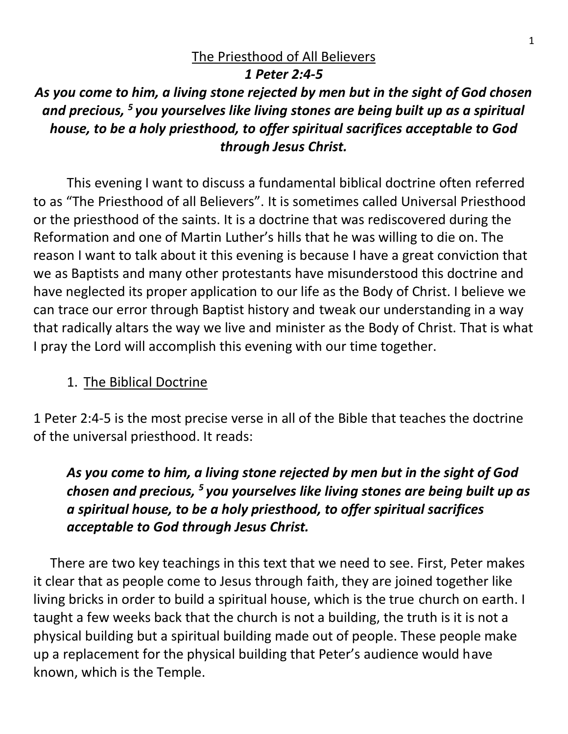### The Priesthood of All Believers

### *1 Peter 2:4-5*

*As you come to him, a living stone rejected by men but in the sight of God chosen and precious, <sup>5</sup> you yourselves like living stones are being built up as a spiritual house, to be a holy priesthood, to offer spiritual sacrifices acceptable to God through Jesus Christ.*

This evening I want to discuss a fundamental biblical doctrine often referred to as "The Priesthood of all Believers". It is sometimes called Universal Priesthood or the priesthood of the saints. It is a doctrine that was rediscovered during the Reformation and one of Martin Luther's hills that he was willing to die on. The reason I want to talk about it this evening is because I have a great conviction that we as Baptists and many other protestants have misunderstood this doctrine and have neglected its proper application to our life as the Body of Christ. I believe we can trace our error through Baptist history and tweak our understanding in a way that radically altars the way we live and minister as the Body of Christ. That is what I pray the Lord will accomplish this evening with our time together.

### 1. The Biblical Doctrine

1 Peter 2:4-5 is the most precise verse in all of the Bible that teaches the doctrine of the universal priesthood. It reads:

*As you come to him, a living stone rejected by men but in the sight of God chosen and precious, <sup>5</sup> you yourselves like living stones are being built up as a spiritual house, to be a holy priesthood, to offer spiritual sacrifices acceptable to God through Jesus Christ.*

There are two key teachings in this text that we need to see. First, Peter makes it clear that as people come to Jesus through faith, they are joined together like living bricks in order to build a spiritual house, which is the true church on earth. I taught a few weeks back that the church is not a building, the truth is it is not a physical building but a spiritual building made out of people. These people make up a replacement for the physical building that Peter's audience would have known, which is the Temple.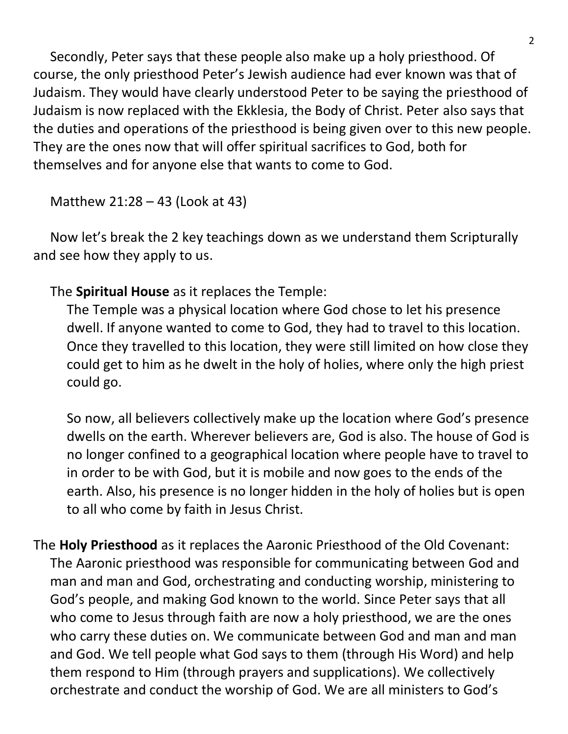Secondly, Peter says that these people also make up a holy priesthood. Of course, the only priesthood Peter's Jewish audience had ever known was that of Judaism. They would have clearly understood Peter to be saying the priesthood of Judaism is now replaced with the Ekklesia, the Body of Christ. Peter also says that the duties and operations of the priesthood is being given over to this new people. They are the ones now that will offer spiritual sacrifices to God, both for themselves and for anyone else that wants to come to God.

Matthew 21:28 – 43 (Look at 43)

Now let's break the 2 key teachings down as we understand them Scripturally and see how they apply to us.

## The **Spiritual House** as it replaces the Temple:

The Temple was a physical location where God chose to let his presence dwell. If anyone wanted to come to God, they had to travel to this location. Once they travelled to this location, they were still limited on how close they could get to him as he dwelt in the holy of holies, where only the high priest could go.

So now, all believers collectively make up the location where God's presence dwells on the earth. Wherever believers are, God is also. The house of God is no longer confined to a geographical location where people have to travel to in order to be with God, but it is mobile and now goes to the ends of the earth. Also, his presence is no longer hidden in the holy of holies but is open to all who come by faith in Jesus Christ.

The **Holy Priesthood** as it replaces the Aaronic Priesthood of the Old Covenant: The Aaronic priesthood was responsible for communicating between God and man and man and God, orchestrating and conducting worship, ministering to God's people, and making God known to the world. Since Peter says that all who come to Jesus through faith are now a holy priesthood, we are the ones who carry these duties on. We communicate between God and man and man and God. We tell people what God says to them (through His Word) and help them respond to Him (through prayers and supplications). We collectively orchestrate and conduct the worship of God. We are all ministers to God's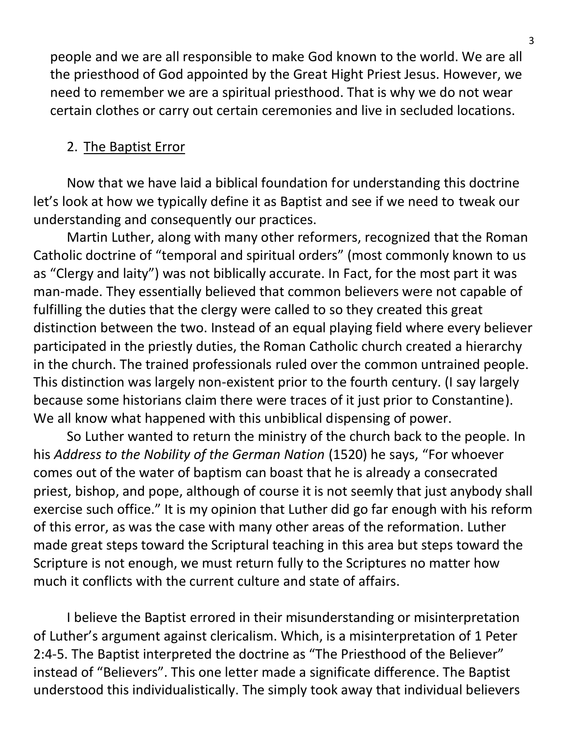people and we are all responsible to make God known to the world. We are all the priesthood of God appointed by the Great Hight Priest Jesus. However, we need to remember we are a spiritual priesthood. That is why we do not wear certain clothes or carry out certain ceremonies and live in secluded locations.

### 2. The Baptist Error

Now that we have laid a biblical foundation for understanding this doctrine let's look at how we typically define it as Baptist and see if we need to tweak our understanding and consequently our practices.

Martin Luther, along with many other reformers, recognized that the Roman Catholic doctrine of "temporal and spiritual orders" (most commonly known to us as "Clergy and laity") was not biblically accurate. In Fact, for the most part it was man-made. They essentially believed that common believers were not capable of fulfilling the duties that the clergy were called to so they created this great distinction between the two. Instead of an equal playing field where every believer participated in the priestly duties, the Roman Catholic church created a hierarchy in the church. The trained professionals ruled over the common untrained people. This distinction was largely non-existent prior to the fourth century. (I say largely because some historians claim there were traces of it just prior to Constantine). We all know what happened with this unbiblical dispensing of power.

So Luther wanted to return the ministry of the church back to the people. In his *Address to the Nobility of the German Nation* (1520) he says, "For whoever comes out of the water of baptism can boast that he is already a consecrated priest, bishop, and pope, although of course it is not seemly that just anybody shall exercise such office." It is my opinion that Luther did go far enough with his reform of this error, as was the case with many other areas of the reformation. Luther made great steps toward the Scriptural teaching in this area but steps toward the Scripture is not enough, we must return fully to the Scriptures no matter how much it conflicts with the current culture and state of affairs.

I believe the Baptist errored in their misunderstanding or misinterpretation of Luther's argument against clericalism. Which, is a misinterpretation of 1 Peter 2:4-5. The Baptist interpreted the doctrine as "The Priesthood of the Believer" instead of "Believers". This one letter made a significate difference. The Baptist understood this individualistically. The simply took away that individual believers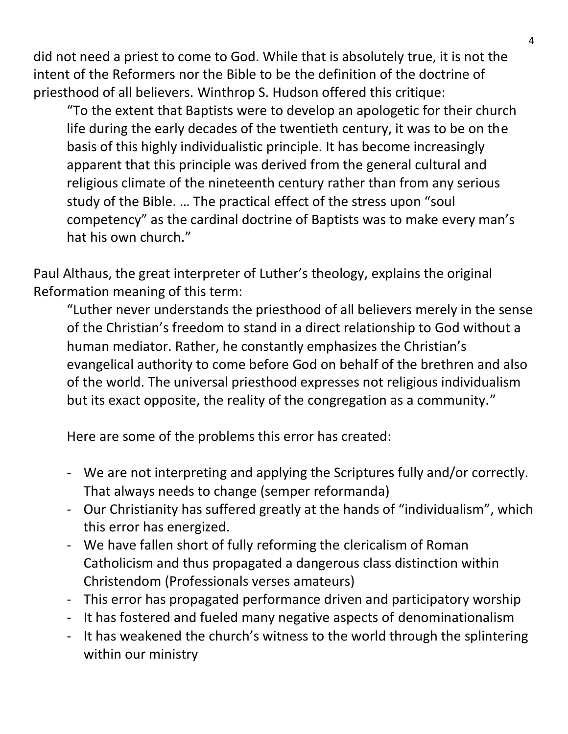did not need a priest to come to God. While that is absolutely true, it is not the intent of the Reformers nor the Bible to be the definition of the doctrine of priesthood of all believers. Winthrop S. Hudson offered this critique:

"To the extent that Baptists were to develop an apologetic for their church life during the early decades of the twentieth century, it was to be on the basis of this highly individualistic principle. It has become increasingly apparent that this principle was derived from the general cultural and religious climate of the nineteenth century rather than from any serious study of the Bible. … The practical effect of the stress upon "soul competency" as the cardinal doctrine of Baptists was to make every man's hat his own church."

Paul Althaus, the great interpreter of Luther's theology, explains the original Reformation meaning of this term:

"Luther never understands the priesthood of all believers merely in the sense of the Christian's freedom to stand in a direct relationship to God without a human mediator. Rather, he constantly emphasizes the Christian's evangelical authority to come before God on behalf of the brethren and also of the world. The universal priesthood expresses not religious individualism but its exact opposite, the reality of the congregation as a community."

Here are some of the problems this error has created:

- We are not interpreting and applying the Scriptures fully and/or correctly. That always needs to change (semper reformanda)
- Our Christianity has suffered greatly at the hands of "individualism", which this error has energized.
- We have fallen short of fully reforming the clericalism of Roman Catholicism and thus propagated a dangerous class distinction within Christendom (Professionals verses amateurs)
- This error has propagated performance driven and participatory worship
- It has fostered and fueled many negative aspects of denominationalism
- It has weakened the church's witness to the world through the splintering within our ministry